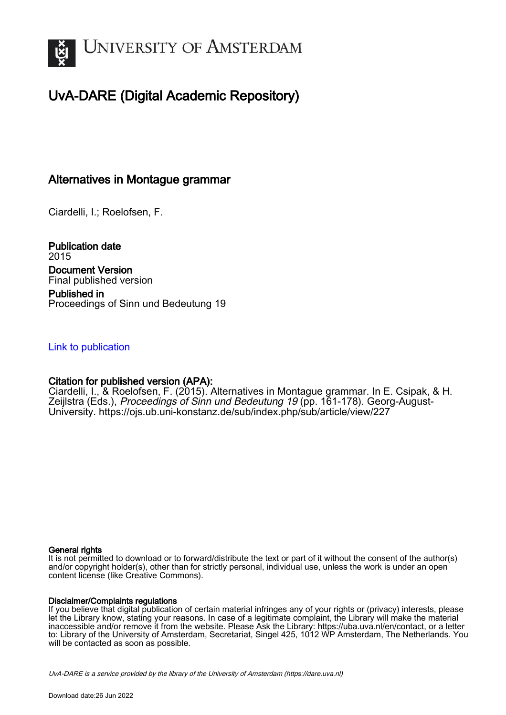

# UvA-DARE (Digital Academic Repository)

# Alternatives in Montague grammar

Ciardelli, I.; Roelofsen, F.

Publication date 2015 Document Version Final published version Published in Proceedings of Sinn und Bedeutung 19

# [Link to publication](https://dare.uva.nl/personal/pure/en/publications/alternatives-in-montague-grammar(32f3aa3d-4498-4f25-943d-a3673dfbe17a).html)

# Citation for published version (APA):

Ciardelli, I., & Roelofsen, F. (2015). Alternatives in Montague grammar. In E. Csipak, & H. Zeijlstra (Eds.), Proceedings of Sinn und Bedeutung 19 (pp. 161-178). Georg-August-University.<https://ojs.ub.uni-konstanz.de/sub/index.php/sub/article/view/227>

#### General rights

It is not permitted to download or to forward/distribute the text or part of it without the consent of the author(s) and/or copyright holder(s), other than for strictly personal, individual use, unless the work is under an open content license (like Creative Commons).

#### Disclaimer/Complaints regulations

If you believe that digital publication of certain material infringes any of your rights or (privacy) interests, please let the Library know, stating your reasons. In case of a legitimate complaint, the Library will make the material inaccessible and/or remove it from the website. Please Ask the Library: https://uba.uva.nl/en/contact, or a letter to: Library of the University of Amsterdam, Secretariat, Singel 425, 1012 WP Amsterdam, The Netherlands. You will be contacted as soon as possible.

UvA-DARE is a service provided by the library of the University of Amsterdam (http*s*://dare.uva.nl)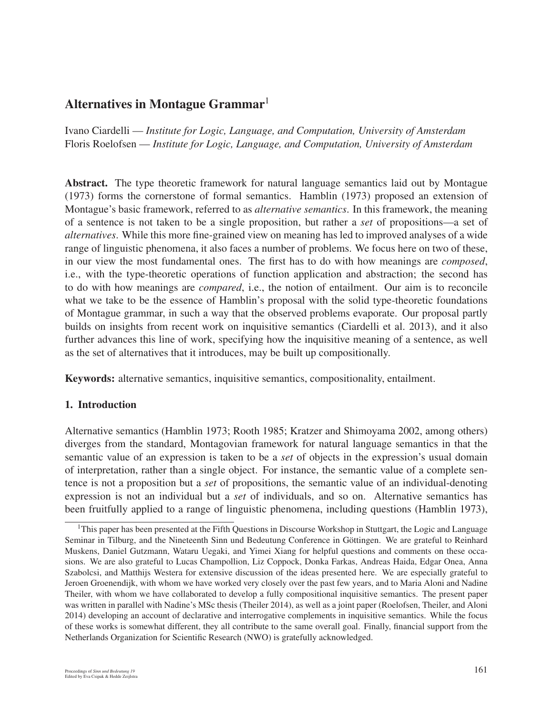# Alternatives in Montague Grammar<sup>1</sup>

Ivano Ciardelli — *Institute for Logic, Language, and Computation, University of Amsterdam* Floris Roelofsen — *Institute for Logic, Language, and Computation, University of Amsterdam*

Abstract. The type theoretic framework for natural language semantics laid out by Montague (1973) forms the cornerstone of formal semantics. Hamblin (1973) proposed an extension of Montague's basic framework, referred to as *alternative semantics*. In this framework, the meaning of a sentence is not taken to be a single proposition, but rather a *set* of propositions—a set of *alternatives*. While this more fine-grained view on meaning has led to improved analyses of a wide range of linguistic phenomena, it also faces a number of problems. We focus here on two of these, in our view the most fundamental ones. The first has to do with how meanings are *composed*, i.e., with the type-theoretic operations of function application and abstraction; the second has to do with how meanings are *compared*, i.e., the notion of entailment. Our aim is to reconcile what we take to be the essence of Hamblin's proposal with the solid type-theoretic foundations of Montague grammar, in such a way that the observed problems evaporate. Our proposal partly builds on insights from recent work on inquisitive semantics (Ciardelli et al. 2013), and it also further advances this line of work, specifying how the inquisitive meaning of a sentence, as well as the set of alternatives that it introduces, may be built up compositionally.

Keywords: alternative semantics, inquisitive semantics, compositionality, entailment.

#### 1. Introduction

Alternative semantics (Hamblin 1973; Rooth 1985; Kratzer and Shimoyama 2002, among others) diverges from the standard, Montagovian framework for natural language semantics in that the semantic value of an expression is taken to be a *set* of objects in the expression's usual domain of interpretation, rather than a single object. For instance, the semantic value of a complete sentence is not a proposition but a *set* of propositions, the semantic value of an individual-denoting expression is not an individual but a *set* of individuals, and so on. Alternative semantics has been fruitfully applied to a range of linguistic phenomena, including questions (Hamblin 1973),

<sup>&</sup>lt;sup>1</sup>This paper has been presented at the Fifth Questions in Discourse Workshop in Stuttgart, the Logic and Language Seminar in Tilburg, and the Nineteenth Sinn und Bedeutung Conference in Göttingen. We are grateful to Reinhard Muskens, Daniel Gutzmann, Wataru Uegaki, and Yimei Xiang for helpful questions and comments on these occasions. We are also grateful to Lucas Champollion, Liz Coppock, Donka Farkas, Andreas Haida, Edgar Onea, Anna Szabolcsi, and Matthijs Westera for extensive discussion of the ideas presented here. We are especially grateful to Jeroen Groenendijk, with whom we have worked very closely over the past few years, and to Maria Aloni and Nadine Theiler, with whom we have collaborated to develop a fully compositional inquisitive semantics. The present paper was written in parallel with Nadine's MSc thesis (Theiler 2014), as well as a joint paper (Roelofsen, Theiler, and Aloni 2014) developing an account of declarative and interrogative complements in inquisitive semantics. While the focus of these works is somewhat different, they all contribute to the same overall goal. Finally, financial support from the Netherlands Organization for Scientific Research (NWO) is gratefully acknowledged.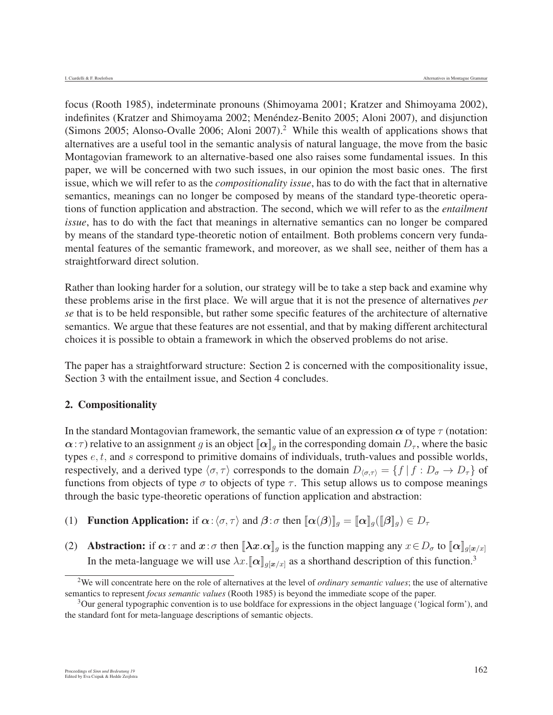focus (Rooth 1985), indeterminate pronouns (Shimoyama 2001; Kratzer and Shimoyama 2002), indefinites (Kratzer and Shimoyama 2002; Menéndez-Benito 2005; Aloni 2007), and disjunction (Simons 2005; Alonso-Ovalle 2006; Aloni 2007).<sup>2</sup> While this wealth of applications shows that alternatives are a useful tool in the semantic analysis of natural language, the move from the basic Montagovian framework to an alternative-based one also raises some fundamental issues. In this paper, we will be concerned with two such issues, in our opinion the most basic ones. The first issue, which we will refer to as the *compositionality issue*, has to do with the fact that in alternative semantics, meanings can no longer be composed by means of the standard type-theoretic operations of function application and abstraction. The second, which we will refer to as the *entailment issue*, has to do with the fact that meanings in alternative semantics can no longer be compared by means of the standard type-theoretic notion of entailment. Both problems concern very fundamental features of the semantic framework, and moreover, as we shall see, neither of them has a straightforward direct solution.

Rather than looking harder for a solution, our strategy will be to take a step back and examine why these problems arise in the first place. We will argue that it is not the presence of alternatives *per se* that is to be held responsible, but rather some specific features of the architecture of alternative semantics. We argue that these features are not essential, and that by making different architectural choices it is possible to obtain a framework in which the observed problems do not arise.

The paper has a straightforward structure: Section 2 is concerned with the compositionality issue, Section 3 with the entailment issue, and Section 4 concludes.

#### 2. Compositionality

In the standard Montagovian framework, the semantic value of an expression  $\alpha$  of type  $\tau$  (notation:  $\alpha$ : *τ*) relative to an assignment g is an object  $[\![\alpha]\!]_g$  in the corresponding domain  $D_{\tau}$ , where the basic types  $e, t$ , and s correspond to primitive domains of individuals, truth-values and possible worlds, respectively, and a derived type  $\langle \sigma, \tau \rangle$  corresponds to the domain  $D_{\langle \sigma, \tau \rangle} = \{f \mid f : D_{\sigma} \to D_{\tau}\}\$  of functions from objects of type  $\sigma$  to objects of type  $\tau$ . This setup allows us to compose meanings through the basic type-theoretic operations of function application and abstraction:

- (1) **Function Application:** if  $\alpha$ : $\langle \sigma, \tau \rangle$  and  $\beta$ :  $\sigma$  then  $[\![\alpha(\beta)]\!]_g = [\![\alpha]\!]_g (\llbracket \beta \rrbracket_g) \in D_\tau$
- (2) **Abstraction:** if  $\alpha : \tau$  and  $x : \sigma$  then  $[\![\lambda x . \alpha]\!]_g$  is the function mapping any  $x \in D_{\sigma}$  to  $[\![\alpha]\!]_{g[x/x]}$ In the meta-language we will use  $\lambda x$ .  $[\alpha]_{g[x/x]}$  as a shorthand description of this function.<sup>3</sup>

<sup>2</sup>We will concentrate here on the role of alternatives at the level of *ordinary semantic values*; the use of alternative semantics to represent *focus semantic values* (Rooth 1985) is beyond the immediate scope of the paper.

<sup>3</sup>Our general typographic convention is to use boldface for expressions in the object language ('logical form'), and the standard font for meta-language descriptions of semantic objects.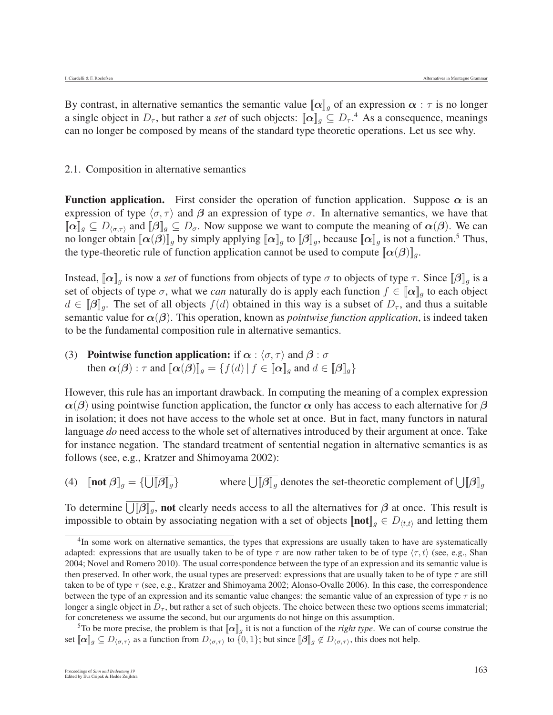By contrast, in alternative semantics the semantic value  $\|\alpha\|_q$  of an expression  $\alpha : \tau$  is no longer a single object in  $D_{\tau}$ , but rather a *set* of such objects:  $[\![\alpha]\!]_g \subseteq D_{\tau}$ .<sup>4</sup> As a consequence, meanings can no longer be composed by means of the standard type theoretic operations. Let us see why.

#### 2.1. Composition in alternative semantics

**Function application.** First consider the operation of function application. Suppose  $\alpha$  is an expression of type  $\langle \sigma, \tau \rangle$  and  $\beta$  an expression of type  $\sigma$ . In alternative semantics, we have that  $[\![\boldsymbol{\alpha}]\!]_g \subseteq D_{\langle \sigma,\tau \rangle}$  and  $[\![\boldsymbol{\beta}]\!]_g \subseteq D_{\sigma}$ . Now suppose we want to compute the meaning of  $\boldsymbol{\alpha}(\boldsymbol{\beta})$ . We can no longer obtain  $\llbracket \alpha(\beta) \rrbracket_g$  by simply applying  $\llbracket \alpha \rrbracket_g$  to  $\llbracket \beta \rrbracket_g$ , because  $\llbracket \alpha \rrbracket_g$  is not a function.<sup>5</sup> Thus, the type-theoretic rule of function application cannot be used to compute  $\llbracket \alpha(\beta) \rrbracket_q$ .

Instead,  $[\alpha]_q$  is now a *set* of functions from objects of type  $\sigma$  to objects of type  $\tau$ . Since  $[\beta]_q$  is a set of objects of type  $\sigma$ , what we *can* naturally do is apply each function  $f \in [\![\alpha]\!]_g$  to each object  $d \in [\![\beta]\!]_q$ . The set of all objects  $f(d)$  obtained in this way is a subset of  $D_{\tau}$ , and thus a suitable semantic value for  $\alpha(\beta)$ . This operation, known as *pointwise function application*, is indeed taken to be the fundamental composition rule in alternative semantics.

# (3) **Pointwise function application:** if  $\alpha$  :  $\langle \sigma, \tau \rangle$  and  $\beta$  :  $\sigma$ then  $\alpha(\beta)$ :  $\tau$  and  $[\![\alpha(\beta)]\!]_q = \{f(d) | f \in [\![\alpha]\!]_q \}$  and  $d \in [\![\beta]\!]_q$

However, this rule has an important drawback. In computing the meaning of a complex expression  $\alpha(\beta)$  using pointwise function application, the functor  $\alpha$  only has access to each alternative for  $\beta$ in isolation; it does not have access to the whole set at once. But in fact, many functors in natural language *do* need access to the whole set of alternatives introduced by their argument at once. Take for instance negation. The standard treatment of sentential negation in alternative semantics is as follows (see, e.g., Kratzer and Shimoyama 2002):

(4)  $\left[\text{not } \beta\right]_g = \{\bigcup$  $[\![\beta]\!]_g$  where  $\bigcup [\![\beta]\!]_g$  denotes the set-theoretic complement of  $\bigcup [\![\beta]\!]_g$ 

To determine  $\bigcup_{i} [\beta]_g$ , not clearly needs access to all the alternatives for  $\beta$  at once. This result is impossible to obtain by associating negation with a set of objects  $[\text{not}]_g \in D_{\langle t,t \rangle}$  and letting them

<sup>&</sup>lt;sup>4</sup>In some work on alternative semantics, the types that expressions are usually taken to have are systematically adapted: expressions that are usually taken to be of type  $\tau$  are now rather taken to be of type  $\langle \tau, t \rangle$  (see, e.g., Shan 2004; Novel and Romero 2010). The usual correspondence between the type of an expression and its semantic value is then preserved. In other work, the usual types are preserved: expressions that are usually taken to be of type  $\tau$  are still taken to be of type  $\tau$  (see, e.g., Kratzer and Shimoyama 2002; Alonso-Ovalle 2006). In this case, the correspondence between the type of an expression and its semantic value changes: the semantic value of an expression of type  $\tau$  is no longer a single object in  $D_{\tau}$ , but rather a set of such objects. The choice between these two options seems immaterial; for concreteness we assume the second, but our arguments do not hinge on this assumption.

<sup>&</sup>lt;sup>5</sup>To be more precise, the problem is that  $[\![\alpha]\!]_g$  it is not a function of the *right type*. We can of course construe the set  $[\![\alpha]\!]_g \subseteq D_{\langle \sigma,\tau \rangle}$  as a function from  $D_{\langle \sigma,\tau \rangle}$  to  $\{0,1\}$ ; but since  $[\![\beta]\!]_g \notin D_{\langle \sigma,\tau \rangle}$ , this does not help.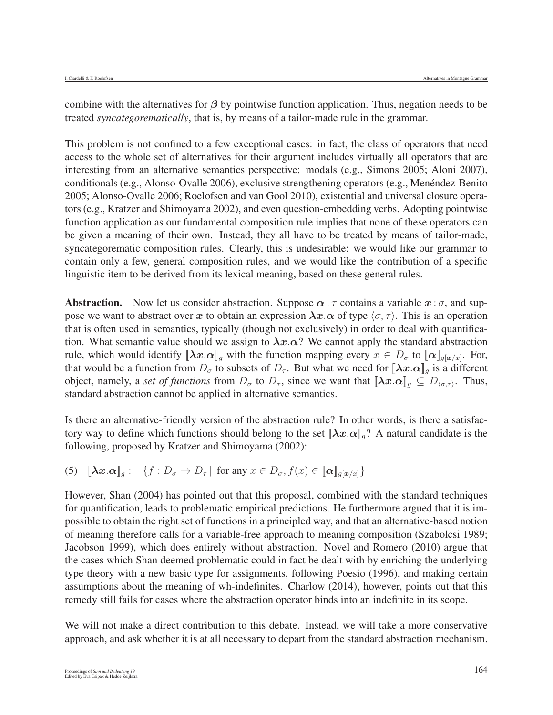combine with the alternatives for *β* by pointwise function application. Thus, negation needs to be treated *syncategorematically*, that is, by means of a tailor-made rule in the grammar.

This problem is not confined to a few exceptional cases: in fact, the class of operators that need access to the whole set of alternatives for their argument includes virtually all operators that are interesting from an alternative semantics perspective: modals (e.g., Simons 2005; Aloni 2007), conditionals (e.g., Alonso-Ovalle 2006), exclusive strengthening operators (e.g., Menéndez-Benito 2005; Alonso-Ovalle 2006; Roelofsen and van Gool 2010), existential and universal closure operators (e.g., Kratzer and Shimoyama 2002), and even question-embedding verbs. Adopting pointwise function application as our fundamental composition rule implies that none of these operators can be given a meaning of their own. Instead, they all have to be treated by means of tailor-made, syncategorematic composition rules. Clearly, this is undesirable: we would like our grammar to contain only a few, general composition rules, and we would like the contribution of a specific linguistic item to be derived from its lexical meaning, based on these general rules.

**Abstraction.** Now let us consider abstraction. Suppose  $\alpha : \tau$  contains a variable  $x : \sigma$ , and suppose we want to abstract over x to obtain an expression  $\lambda x.\alpha$  of type  $\langle \sigma, \tau \rangle$ . This is an operation that is often used in semantics, typically (though not exclusively) in order to deal with quantification. What semantic value should we assign to  $\lambda x.\alpha$ ? We cannot apply the standard abstraction rule, which would identify  $[\lambda x.\alpha]_g$  with the function mapping every  $x \in D_{\sigma}$  to  $[\alpha]_{g[x/x]}$ . For, that would be a function from  $D_{\sigma}$  to subsets of  $D_{\tau}$ . But what we need for  $[\lambda x. \alpha]_q$  is a different object, namely, a *set of functions* from  $D_{\sigma}$  to  $D_{\tau}$ , since we want that  $[\![\lambda x.\alpha]\!]_g \subseteq D_{\langle \sigma,\tau \rangle}$ . Thus, standard abstraction cannot be applied in alternative semantics.

Is there an alternative-friendly version of the abstraction rule? In other words, is there a satisfactory way to define which functions should belong to the set  $[\lambda x. \alpha]_q$ ? A natural candidate is the following, proposed by Kratzer and Shimoyama (2002):

(5) 
$$
\llbracket \lambda x. \alpha \rrbracket_g := \{ f : D_{\sigma} \to D_{\tau} \mid \text{ for any } x \in D_{\sigma}, f(x) \in \llbracket \alpha \rrbracket_{g[x/x]} \}
$$

However, Shan (2004) has pointed out that this proposal, combined with the standard techniques for quantification, leads to problematic empirical predictions. He furthermore argued that it is impossible to obtain the right set of functions in a principled way, and that an alternative-based notion of meaning therefore calls for a variable-free approach to meaning composition (Szabolcsi 1989; Jacobson 1999), which does entirely without abstraction. Novel and Romero (2010) argue that the cases which Shan deemed problematic could in fact be dealt with by enriching the underlying type theory with a new basic type for assignments, following Poesio (1996), and making certain assumptions about the meaning of wh-indefinites. Charlow (2014), however, points out that this remedy still fails for cases where the abstraction operator binds into an indefinite in its scope.

We will not make a direct contribution to this debate. Instead, we will take a more conservative approach, and ask whether it is at all necessary to depart from the standard abstraction mechanism.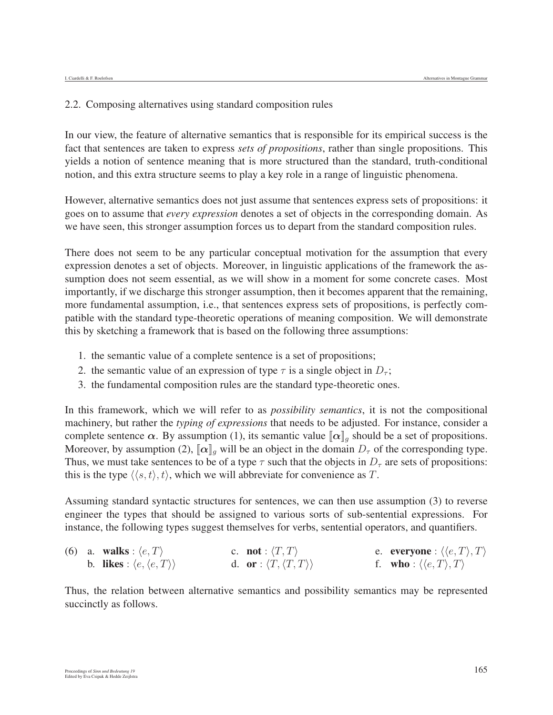#### 2.2. Composing alternatives using standard composition rules

In our view, the feature of alternative semantics that is responsible for its empirical success is the fact that sentences are taken to express *sets of propositions*, rather than single propositions. This yields a notion of sentence meaning that is more structured than the standard, truth-conditional notion, and this extra structure seems to play a key role in a range of linguistic phenomena.

However, alternative semantics does not just assume that sentences express sets of propositions: it goes on to assume that *every expression* denotes a set of objects in the corresponding domain. As we have seen, this stronger assumption forces us to depart from the standard composition rules.

There does not seem to be any particular conceptual motivation for the assumption that every expression denotes a set of objects. Moreover, in linguistic applications of the framework the assumption does not seem essential, as we will show in a moment for some concrete cases. Most importantly, if we discharge this stronger assumption, then it becomes apparent that the remaining, more fundamental assumption, i.e., that sentences express sets of propositions, is perfectly compatible with the standard type-theoretic operations of meaning composition. We will demonstrate this by sketching a framework that is based on the following three assumptions:

- 1. the semantic value of a complete sentence is a set of propositions;
- 2. the semantic value of an expression of type  $\tau$  is a single object in  $D_{\tau}$ ;
- 3. the fundamental composition rules are the standard type-theoretic ones.

In this framework, which we will refer to as *possibility semantics*, it is not the compositional machinery, but rather the *typing of expressions* that needs to be adjusted. For instance, consider a complete sentence  $\alpha$ . By assumption (1), its semantic value  $\|\alpha\|_q$  should be a set of propositions. Moreover, by assumption (2),  $\|\alpha\|_q$  will be an object in the domain  $D_\tau$  of the corresponding type. Thus, we must take sentences to be of a type  $\tau$  such that the objects in  $D_{\tau}$  are sets of propositions: this is the type  $\langle \langle s, t \rangle, t \rangle$ , which we will abbreviate for convenience as T.

Assuming standard syntactic structures for sentences, we can then use assumption (3) to reverse engineer the types that should be assigned to various sorts of sub-sentential expressions. For instance, the following types suggest themselves for verbs, sentential operators, and quantifiers.

|  | (6) a. walks : $\langle e, T \rangle$                | c. <b>not</b> : $\langle T, T \rangle$            | e. everyone : $\langle \langle e, T \rangle, T \rangle$ |
|--|------------------------------------------------------|---------------------------------------------------|---------------------------------------------------------|
|  | b. likes : $\langle e, \langle e, T \rangle \rangle$ | d. or : $\langle T, \langle T, T \rangle \rangle$ | f. who: $\langle \langle e, T \rangle, T \rangle$       |

Thus, the relation between alternative semantics and possibility semantics may be represented succinctly as follows.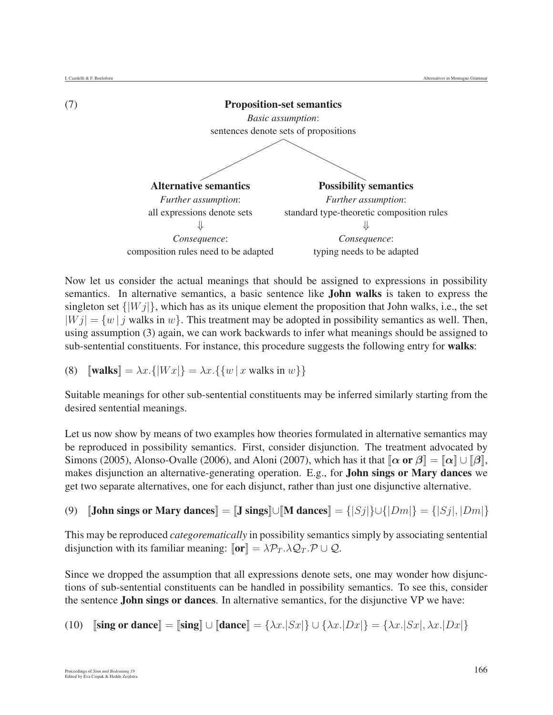

Now let us consider the actual meanings that should be assigned to expressions in possibility semantics. In alternative semantics, a basic sentence like John walks is taken to express the singleton set  $\{|W_j|\}$ , which has as its unique element the proposition that John walks, i.e., the set  $|Wj| = \{w \mid j \text{ walks in } w\}.$  This treatment may be adopted in possibility semantics as well. Then, using assumption (3) again, we can work backwards to infer what meanings should be assigned to sub-sentential constituents. For instance, this procedure suggests the following entry for walks:

(8) 
$$
\llbracket \textbf{walks} \rrbracket = \lambda x. \{ |Wx| \} = \lambda x. \{ \{ w \mid x \text{ walks in } w \} \}
$$

Suitable meanings for other sub-sentential constituents may be inferred similarly starting from the desired sentential meanings.

Let us now show by means of two examples how theories formulated in alternative semantics may be reproduced in possibility semantics. First, consider disjunction. The treatment advocated by Simons (2005), Alonso-Ovalle (2006), and Aloni (2007), which has it that  $[\alpha \text{ or } \beta] = [\alpha] \cup [\beta]$ , makes disjunction an alternative-generating operation. E.g., for John sings or Mary dances we get two separate alternatives, one for each disjunct, rather than just one disjunctive alternative.

(9)  $[\text{John sings or Mary dances}] = [\text{J sings}]\cup [\text{M dances}] = \{ |S_j| \} \cup \{ |D_m| \} = \{ |S_j|, |D_m| \}$ 

This may be reproduced *categorematically* in possibility semantics simply by associating sentential disjunction with its familiar meaning:  $\llbracket \textbf{or} \rrbracket = \lambda \mathcal{P}_T \lambda \mathcal{Q}_T \mathcal{P} \cup \mathcal{Q}$ .

Since we dropped the assumption that all expressions denote sets, one may wonder how disjunctions of sub-sentential constituents can be handled in possibility semantics. To see this, consider the sentence John sings or dances. In alternative semantics, for the disjunctive VP we have:

(10) **[sing or dance]** = **[sing]** 
$$
\cup
$$
 **[dance]** =  $\{\lambda x. |Sx|\} \cup \{\lambda x. |Dx|\} = \{\lambda x. |Sx|, \lambda x. |Dx|\}$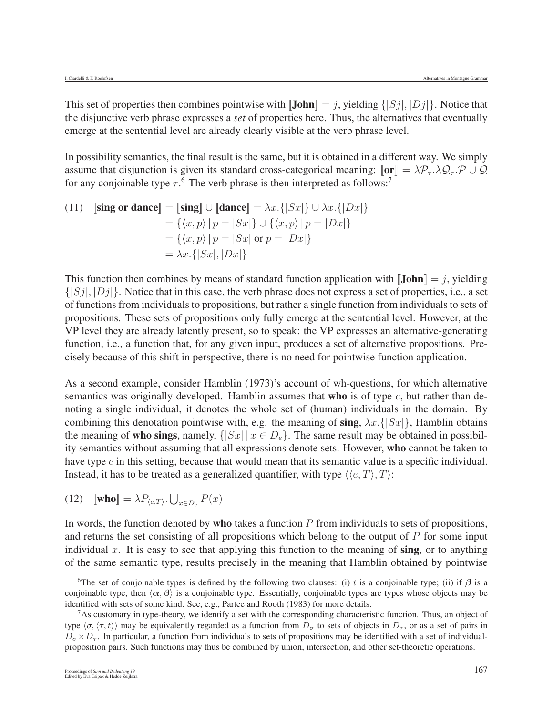This set of properties then combines pointwise with  $\llbracket \text{John} \rrbracket = j$ , yielding  $\{ |Sj|, |Dj| \}$ . Notice that the disjunctive verb phrase expresses a *set* of properties here. Thus, the alternatives that eventually emerge at the sentential level are already clearly visible at the verb phrase level.

In possibility semantics, the final result is the same, but it is obtained in a different way. We simply assume that disjunction is given its standard cross-categorical meaning:  $\llbracket \textbf{or} \rrbracket = \lambda \mathcal{P}_{\tau} \cdot \lambda \mathcal{Q}_{\tau} \cdot \mathcal{P} \cup \mathcal{Q}$ for any conjoinable type  $\tau$ .<sup>6</sup> The verb phrase is then interpreted as follows:<sup>7</sup>

(11) 
$$
\begin{aligned} \n\textbf{[sing or dance]} &= \n\begin{bmatrix} \n\textbf{sing} \n\end{bmatrix} \cup \n\begin{bmatrix} \n\textbf{dance} \n\end{bmatrix} = \lambda x. \{ |Sx| \} \cup \lambda x. \{ |Dx| \} \\
&= \{ \langle x, p \rangle \mid p = |Sx| \} \cup \{ \langle x, p \rangle \mid p = |Dx| \} \\
&= \{ \langle x, p \rangle \mid p = |Sx| \text{ or } p = |Dx| \} \\
&= \lambda x. \{ |Sx|, |Dx| \} \n\end{aligned}
$$

This function then combines by means of standard function application with  $\|\mathbf{John}\| = j$ , yielding  $\{|S_j|, |D_j|\}$ . Notice that in this case, the verb phrase does not express a set of properties, i.e., a set of functions from individuals to propositions, but rather a single function from individuals to sets of propositions. These sets of propositions only fully emerge at the sentential level. However, at the VP level they are already latently present, so to speak: the VP expresses an alternative-generating function, i.e., a function that, for any given input, produces a set of alternative propositions. Precisely because of this shift in perspective, there is no need for pointwise function application.

As a second example, consider Hamblin (1973)'s account of wh-questions, for which alternative semantics was originally developed. Hamblin assumes that who is of type  $e$ , but rather than denoting a single individual, it denotes the whole set of (human) individuals in the domain. By combining this denotation pointwise with, e.g. the meaning of sing,  $\lambda x.\{Sx\}$ , Hamblin obtains the meaning of who sings, namely,  $\{ |Sx| | x \in D_e \}$ . The same result may be obtained in possibility semantics without assuming that all expressions denote sets. However, who cannot be taken to have type  $e$  in this setting, because that would mean that its semantic value is a specific individual. Instead, it has to be treated as a generalized quantifier, with type  $\langle \langle e, T \rangle, T \rangle$ :

(12) 
$$
\llbracket \textbf{who} \rrbracket = \lambda P_{\langle e, T \rangle}. \bigcup_{x \in D_e} P(x)
$$

In words, the function denoted by **who** takes a function  $P$  from individuals to sets of propositions, and returns the set consisting of all propositions which belong to the output of  $P$  for some input individual  $x$ . It is easy to see that applying this function to the meaning of sing, or to anything of the same semantic type, results precisely in the meaning that Hamblin obtained by pointwise

<sup>&</sup>lt;sup>6</sup>The set of conjoinable types is defined by the following two clauses: (i) t is a conjoinable type; (ii) if  $\beta$  is a conjoinable type, then  $\langle \alpha, \beta \rangle$  is a conjoinable type. Essentially, conjoinable types are types whose objects may be identified with sets of some kind. See, e.g., Partee and Rooth (1983) for more details.

 $<sup>7</sup>$ As customary in type-theory, we identify a set with the corresponding characteristic function. Thus, an object of</sup> type  $\langle \sigma, \langle \tau, t \rangle \rangle$  may be equivalently regarded as a function from  $D_{\sigma}$  to sets of objects in  $D_{\tau}$ , or as a set of pairs in  $D_{\tau}$ .  $D_{\sigma} \times D_{\tau}$ . In particular, a function from individuals to sets of propositions may be identified with a set of individualproposition pairs. Such functions may thus be combined by union, intersection, and other set-theoretic operations.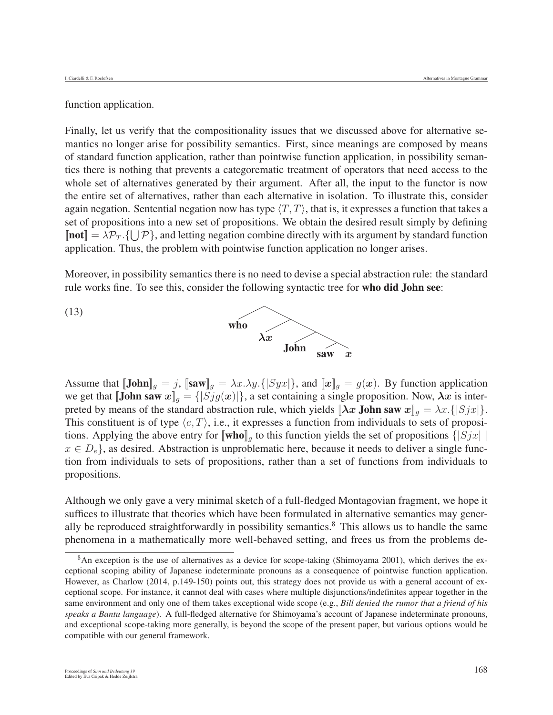function application.

Finally, let us verify that the compositionality issues that we discussed above for alternative semantics no longer arise for possibility semantics. First, since meanings are composed by means of standard function application, rather than pointwise function application, in possibility semantics there is nothing that prevents a categorematic treatment of operators that need access to the whole set of alternatives generated by their argument. After all, the input to the functor is now the entire set of alternatives, rather than each alternative in isolation. To illustrate this, consider again negation. Sentential negation now has type  $\langle T, T \rangle$ , that is, it expresses a function that takes a set of propositions into a new set of propositions. We obtain the desired result simply by defining  $[\text{not}] = \lambda \mathcal{P}_T$ .  $\{\bigcup \mathcal{P}\}\$ , and letting negation combine directly with its argument by standard function application. Thus, the problem with pointwise function application no longer arises.

Moreover, in possibility semantics there is no need to devise a special abstraction rule: the standard rule works fine. To see this, consider the following syntactic tree for who did John see:



Assume that  $[\textbf{John}]_g = j$ ,  $[\textbf{sav}]_g = \lambda x.\lambda y.\{[Syx]\}$ , and  $[\![x]\!]_g = g(x)$ . By function application we get that  $[\textbf{John saw } x]_q = \{ |Sjg(x)| \}$ , a set containing a single proposition. Now,  $\lambda x$  is interpreted by means of the standard abstraction rule, which yields  $[\lambda x \text{ John saw } x]_q = \lambda x. \{ |Sjx| \}.$ This constituent is of type  $\langle e, T \rangle$ , i.e., it expresses a function from individuals to sets of propositions. Applying the above entry for  $[\![\text{who}]\!]_g$  to this function yields the set of propositions  $\{|Sjx|\}|$  $x \in D_e$ , as desired. Abstraction is unproblematic here, because it needs to deliver a single function from individuals to sets of propositions, rather than a set of functions from individuals to propositions.

Although we only gave a very minimal sketch of a full-fledged Montagovian fragment, we hope it suffices to illustrate that theories which have been formulated in alternative semantics may generally be reproduced straightforwardly in possibility semantics.<sup>8</sup> This allows us to handle the same phenomena in a mathematically more well-behaved setting, and frees us from the problems de-

<sup>&</sup>lt;sup>8</sup>An exception is the use of alternatives as a device for scope-taking (Shimoyama 2001), which derives the exceptional scoping ability of Japanese indeterminate pronouns as a consequence of pointwise function application. However, as Charlow (2014, p.149-150) points out, this strategy does not provide us with a general account of exceptional scope. For instance, it cannot deal with cases where multiple disjunctions/indefinites appear together in the same environment and only one of them takes exceptional wide scope (e.g., *Bill denied the rumor that a friend of his speaks a Bantu language*). A full-fledged alternative for Shimoyama's account of Japanese indeterminate pronouns, and exceptional scope-taking more generally, is beyond the scope of the present paper, but various options would be compatible with our general framework.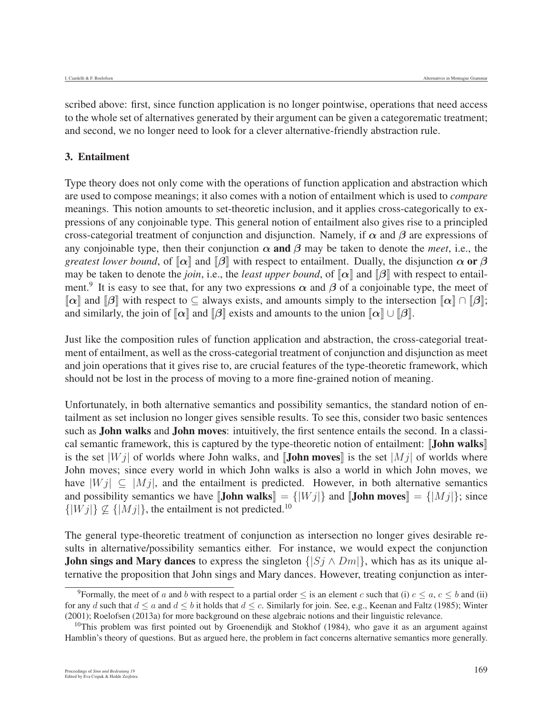scribed above: first, since function application is no longer pointwise, operations that need access to the whole set of alternatives generated by their argument can be given a categorematic treatment; and second, we no longer need to look for a clever alternative-friendly abstraction rule.

#### 3. Entailment

Type theory does not only come with the operations of function application and abstraction which are used to compose meanings; it also comes with a notion of entailment which is used to *compare* meanings. This notion amounts to set-theoretic inclusion, and it applies cross-categorically to expressions of any conjoinable type. This general notion of entailment also gives rise to a principled cross-categorial treatment of conjunction and disjunction. Namely, if *α* and *β* are expressions of any conjoinable type, then their conjunction  $\alpha$  and  $\beta$  may be taken to denote the *meet*, i.e., the *greatest lower bound*, of  $\llbracket \alpha \rrbracket$  and  $\llbracket \beta \rrbracket$  with respect to entailment. Dually, the disjunction  $\alpha$  or  $\beta$ may be taken to denote the *join*, i.e., the *least upper bound*, of  $\llbracket \alpha \rrbracket$  and  $\llbracket \beta \rrbracket$  with respect to entailment.<sup>9</sup> It is easy to see that, for any two expressions  $\alpha$  and  $\beta$  of a conjoinable type, the meet of  $\lceil \alpha \rceil$  and  $\lceil \beta \rceil$  with respect to  $\subseteq$  always exists, and amounts simply to the intersection  $\lceil \alpha \rceil \cap \lceil \beta \rceil$ ; and similarly, the join of  $\llbracket \alpha \rrbracket$  and  $\llbracket \beta \rrbracket$  exists and amounts to the union  $\llbracket \alpha \rrbracket \cup \llbracket \beta \rrbracket$ .

Just like the composition rules of function application and abstraction, the cross-categorial treatment of entailment, as well as the cross-categorial treatment of conjunction and disjunction as meet and join operations that it gives rise to, are crucial features of the type-theoretic framework, which should not be lost in the process of moving to a more fine-grained notion of meaning.

Unfortunately, in both alternative semantics and possibility semantics, the standard notion of entailment as set inclusion no longer gives sensible results. To see this, consider two basic sentences such as **John walks** and **John moves**: intuitively, the first sentence entails the second. In a classical semantic framework, this is captured by the type-theoretic notion of entailment: **John walks** is the set  $|W_j|$  of worlds where John walks, and **John moves** is the set  $|M_j|$  of worlds where John moves; since every world in which John walks is also a world in which John moves, we have  $|Wj| \subseteq |Mj|$ , and the entailment is predicted. However, in both alternative semantics and possibility semantics we have  $\llbracket$ **John walks** $\llbracket = \{ |Wj| \}$  and  $\llbracket$ **John moves** $\llbracket = \{ |Mj| \}$ ; since  $\{|Wj|\}\nsubseteq \{|Mj|\}$ , the entailment is not predicted.<sup>10</sup>

The general type-theoretic treatment of conjunction as intersection no longer gives desirable results in alternative/possibility semantics either. For instance, we would expect the conjunction **John sings and Mary dances** to express the singleton  $\{ |S_j \wedge D_m| \}$ , which has as its unique alternative the proposition that John sings and Mary dances. However, treating conjunction as inter-

<sup>&</sup>lt;sup>9</sup>Formally, the meet of a and b with respect to a partial order  $\leq$  is an element c such that (i)  $c \leq a, c \leq b$  and (ii) for any d such that  $d \le a$  and  $d \le b$  it holds that  $d \le c$ . Similarly for join. See, e.g., Keenan and Faltz (1985); Winter (2001); Roelofsen (2013a) for more background on these algebraic notions and their linguistic relevance.

 $^{10}$ This problem was first pointed out by Groenendijk and Stokhof (1984), who gave it as an argument against Hamblin's theory of questions. But as argued here, the problem in fact concerns alternative semantics more generally.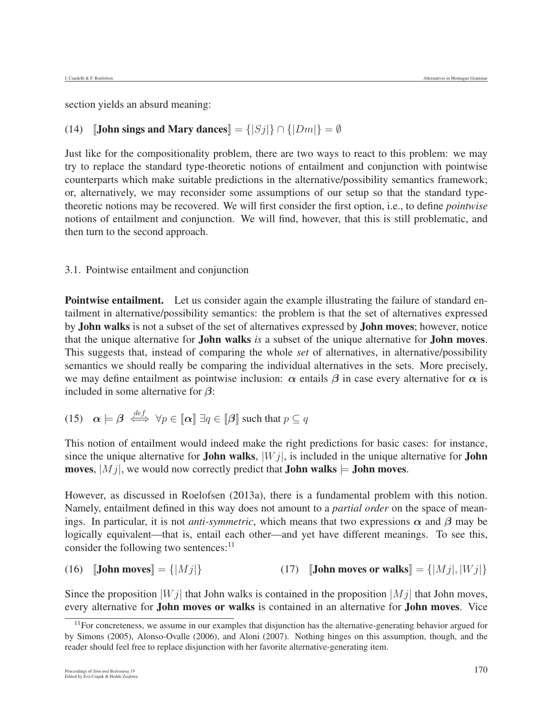section yields an absurd meaning:

# (14) **[John sings and Mary dances**] =  $\{|Sj|\} \cap \{|Dm|\} = \emptyset$

Just like for the compositionality problem, there are two ways to react to this problem: we may try to replace the standard type-theoretic notions of entailment and conjunction with pointwise counterparts which make suitable predictions in the alternative/possibility semantics framework; or, alternatively, we may reconsider some assumptions of our setup so that the standard typetheoretic notions may be recovered. We will first consider the first option, i.e., to define *pointwise* notions of entailment and conjunction. We will find, however, that this is still problematic, and then turn to the second approach.

#### 3.1. Pointwise entailment and conjunction

**Pointwise entailment.** Let us consider again the example illustrating the failure of standard entailment in alternative/possibility semantics: the problem is that the set of alternatives expressed by John walks is not a subset of the set of alternatives expressed by John moves; however, notice that the unique alternative for John walks *is* a subset of the unique alternative for John moves. This suggests that, instead of comparing the whole *set* of alternatives, in alternative/possibility semantics we should really be comparing the individual alternatives in the sets. More precisely, we may define entailment as pointwise inclusion:  $\alpha$  entails  $\beta$  in case every alternative for  $\alpha$  is included in some alternative for *β*:

(15) 
$$
\boldsymbol{\alpha} \models \boldsymbol{\beta} \stackrel{def}{\iff} \forall p \in [\![\boldsymbol{\alpha}]\!] \exists q \in [\![\boldsymbol{\beta}]\!]
$$
 such that  $p \subseteq q$ 

This notion of entailment would indeed make the right predictions for basic cases: for instance, since the unique alternative for **John walks**,  $|Wj|$ , is included in the unique alternative for **John** moves,  $|M_j|$ , we would now correctly predict that **John walks**  $\models$  **John moves.** 

However, as discussed in Roelofsen (2013a), there is a fundamental problem with this notion. Namely, entailment defined in this way does not amount to a *partial order* on the space of meanings. In particular, it is not *anti-symmetric*, which means that two expressions  $\alpha$  and  $\beta$  may be logically equivalent—that is, entail each other—and yet have different meanings. To see this, consider the following two sentences: $<sup>11</sup>$ </sup>

(16)  $\text{[John moves]} = \{|Mj|\}$  (17)  $\text{[John moves or walks]} = \{|Mj|, |Wj|\}$ 

Since the proposition  $|W_j|$  that John walks is contained in the proposition  $|M_j|$  that John moves, every alternative for John moves or walks is contained in an alternative for John moves. Vice

 $11$  For concreteness, we assume in our examples that disjunction has the alternative-generating behavior argued for by Simons (2005), Alonso-Ovalle (2006), and Aloni (2007). Nothing hinges on this assumption, though, and the reader should feel free to replace disjunction with her favorite alternative-generating item.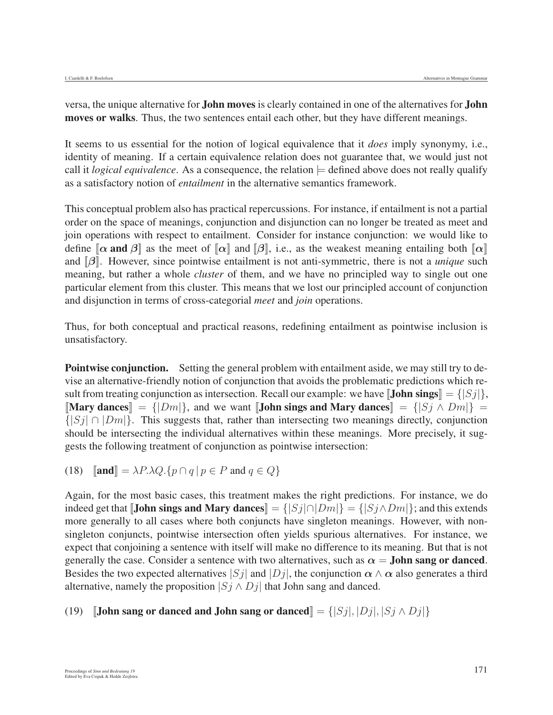versa, the unique alternative for John moves is clearly contained in one of the alternatives for John moves or walks. Thus, the two sentences entail each other, but they have different meanings.

It seems to us essential for the notion of logical equivalence that it *does* imply synonymy, i.e., identity of meaning. If a certain equivalence relation does not guarantee that, we would just not call it *logical equivalence*. As a consequence, the relation  $\models$  defined above does not really qualify as a satisfactory notion of *entailment* in the alternative semantics framework.

This conceptual problem also has practical repercussions. For instance, if entailment is not a partial order on the space of meanings, conjunction and disjunction can no longer be treated as meet and join operations with respect to entailment. Consider for instance conjunction: we would like to define  $[\alpha$  and  $\beta]$  as the meet of  $[\alpha]$  and  $[\beta]$ , i.e., as the weakest meaning entailing both  $[\alpha]$ and [[*β*]]. However, since pointwise entailment is not anti-symmetric, there is not a *unique* such meaning, but rather a whole *cluster* of them, and we have no principled way to single out one particular element from this cluster. This means that we lost our principled account of conjunction and disjunction in terms of cross-categorial *meet* and *join* operations.

Thus, for both conceptual and practical reasons, redefining entailment as pointwise inclusion is unsatisfactory.

Pointwise conjunction. Setting the general problem with entailment aside, we may still try to devise an alternative-friendly notion of conjunction that avoids the problematic predictions which result from treating conjunction as intersection. Recall our example: we have  $\text{Joinsings}$  = { $|Sj|\}$ , [Mary dances] =  $\{|Dm|\}$ , and we want [John sings and Mary dances] =  $\{|Sj \wedge Dm|\}$  =  $\{|S_j| \cap |Dm|\}$ . This suggests that, rather than intersecting two meanings directly, conjunction should be intersecting the individual alternatives within these meanings. More precisely, it suggests the following treatment of conjunction as pointwise intersection:

(18)  $\[\text{and}\] = \lambda P \cdot \lambda Q \cdot \{p \cap q \mid p \in P \text{ and } q \in Q\}$ 

Again, for the most basic cases, this treatment makes the right predictions. For instance, we do indeed get that **[John sings and Mary dances**] = { $|Sj| \cap |Dm|$ } = { $|Sj \wedge Dm|$ }; and this extends more generally to all cases where both conjuncts have singleton meanings. However, with nonsingleton conjuncts, pointwise intersection often yields spurious alternatives. For instance, we expect that conjoining a sentence with itself will make no difference to its meaning. But that is not generally the case. Consider a sentence with two alternatives, such as  $\alpha =$  **John sang or danced**. Besides the two expected alternatives  $|S_j|$  and  $|D_j|$ , the conjunction  $\alpha \wedge \alpha$  also generates a third alternative, namely the proposition  $|S_j \wedge D_j|$  that John sang and danced.

#### (19) **[John sang or danced and John sang or danced**] =  $\{ |Sj|, |Dj|, |Sj \wedge Dj| \}$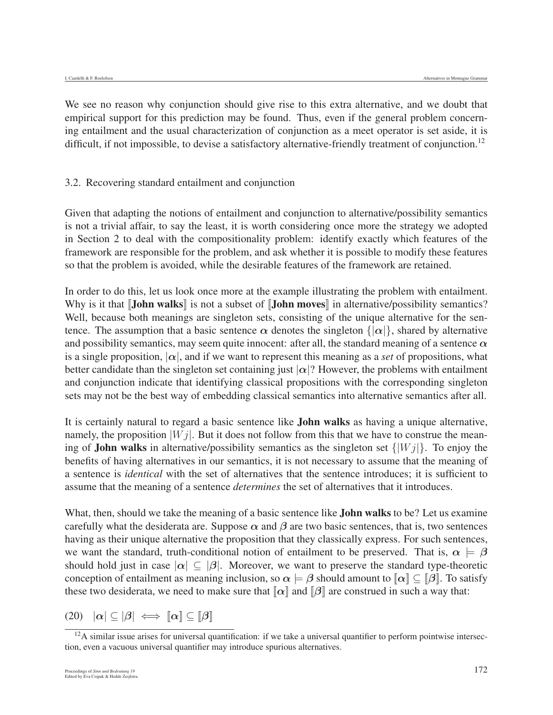We see no reason why conjunction should give rise to this extra alternative, and we doubt that empirical support for this prediction may be found. Thus, even if the general problem concerning entailment and the usual characterization of conjunction as a meet operator is set aside, it is difficult, if not impossible, to devise a satisfactory alternative-friendly treatment of conjunction.<sup>12</sup>

#### 3.2. Recovering standard entailment and conjunction

Given that adapting the notions of entailment and conjunction to alternative/possibility semantics is not a trivial affair, to say the least, it is worth considering once more the strategy we adopted in Section 2 to deal with the compositionality problem: identify exactly which features of the framework are responsible for the problem, and ask whether it is possible to modify these features so that the problem is avoided, while the desirable features of the framework are retained.

In order to do this, let us look once more at the example illustrating the problem with entailment. Why is it that **[John walks**] is not a subset of **[John moves**] in alternative/possibility semantics? Well, because both meanings are singleton sets, consisting of the unique alternative for the sentence. The assumption that a basic sentence  $\alpha$  denotes the singleton  $\{|\alpha|\}$ , shared by alternative and possibility semantics, may seem quite innocent: after all, the standard meaning of a sentence  $\alpha$ is a single proposition,  $|\alpha|$ , and if we want to represent this meaning as a *set* of propositions, what better candidate than the singleton set containing just  $|\alpha|$ ? However, the problems with entailment and conjunction indicate that identifying classical propositions with the corresponding singleton sets may not be the best way of embedding classical semantics into alternative semantics after all.

It is certainly natural to regard a basic sentence like John walks as having a unique alternative, namely, the proposition  $|W_i|$ . But it does not follow from this that we have to construe the meaning of **John walks** in alternative/possibility semantics as the singleton set  $\{[Wj]\}$ . To enjoy the benefits of having alternatives in our semantics, it is not necessary to assume that the meaning of a sentence is *identical* with the set of alternatives that the sentence introduces; it is sufficient to assume that the meaning of a sentence *determines* the set of alternatives that it introduces.

What, then, should we take the meaning of a basic sentence like **John walks** to be? Let us examine carefully what the desiderata are. Suppose  $\alpha$  and  $\beta$  are two basic sentences, that is, two sentences having as their unique alternative the proposition that they classically express. For such sentences, we want the standard, truth-conditional notion of entailment to be preserved. That is,  $\alpha \models \beta$ should hold just in case  $|\alpha| \subseteq |\beta|$ . Moreover, we want to preserve the standard type-theoretic conception of entailment as meaning inclusion, so  $\alpha \models \beta$  should amount to  $\llbracket \alpha \rrbracket \subset \llbracket \beta \rrbracket$ . To satisfy these two desiderata, we need to make sure that  $\llbracket \alpha \rrbracket$  and  $\llbracket \beta \rrbracket$  are construed in such a way that:

 $(20)$   $|\alpha| \subseteq |\beta| \iff |\alpha| \subseteq |\beta|$ 

 $12A$  similar issue arises for universal quantification: if we take a universal quantifier to perform pointwise intersection, even a vacuous universal quantifier may introduce spurious alternatives.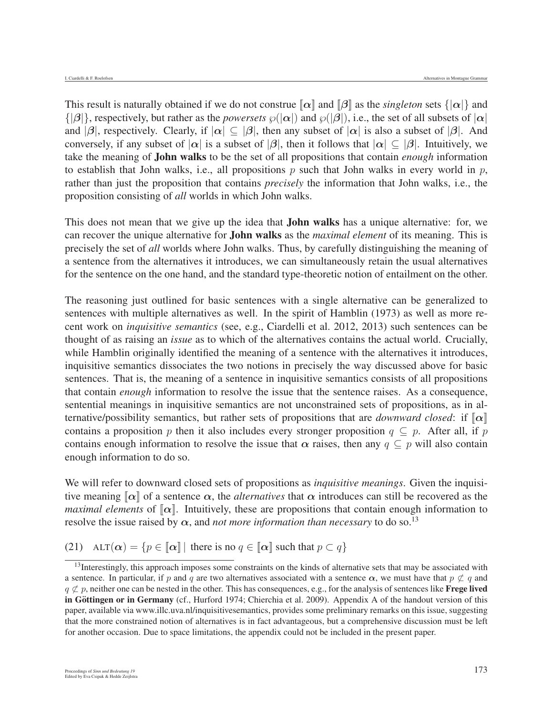This result is naturally obtained if we do not construe  $\llbracket \alpha \rrbracket$  and  $\llbracket \beta \rrbracket$  as the *singleton* sets  $\{\vert \alpha \vert \}$  and  $\{|\beta|\}$ , respectively, but rather as the *powersets*  $\wp(|\alpha|)$  and  $\wp(|\beta|)$ , i.e., the set of all subsets of  $|\alpha|$ and  $|\beta|$ , respectively. Clearly, if  $|\alpha| \subset |\beta|$ , then any subset of  $|\alpha|$  is also a subset of  $|\beta|$ . And conversely, if any subset of  $|\alpha|$  is a subset of  $|\beta|$ , then it follows that  $|\alpha| \subseteq |\beta|$ . Intuitively, we take the meaning of John walks to be the set of all propositions that contain *enough* information to establish that John walks, i.e., all propositions  $p$  such that John walks in every world in  $p$ , rather than just the proposition that contains *precisely* the information that John walks, i.e., the proposition consisting of *all* worlds in which John walks.

This does not mean that we give up the idea that **John walks** has a unique alternative: for, we can recover the unique alternative for John walks as the *maximal element* of its meaning. This is precisely the set of *all* worlds where John walks. Thus, by carefully distinguishing the meaning of a sentence from the alternatives it introduces, we can simultaneously retain the usual alternatives for the sentence on the one hand, and the standard type-theoretic notion of entailment on the other.

The reasoning just outlined for basic sentences with a single alternative can be generalized to sentences with multiple alternatives as well. In the spirit of Hamblin (1973) as well as more recent work on *inquisitive semantics* (see, e.g., Ciardelli et al. 2012, 2013) such sentences can be thought of as raising an *issue* as to which of the alternatives contains the actual world. Crucially, while Hamblin originally identified the meaning of a sentence with the alternatives it introduces, inquisitive semantics dissociates the two notions in precisely the way discussed above for basic sentences. That is, the meaning of a sentence in inquisitive semantics consists of all propositions that contain *enough* information to resolve the issue that the sentence raises. As a consequence, sentential meanings in inquisitive semantics are not unconstrained sets of propositions, as in alternative/possibility semantics, but rather sets of propositions that are *downward closed*: if  $\llbracket \alpha \rrbracket$ contains a proposition p then it also includes every stronger proposition  $q \subseteq p$ . After all, if p contains enough information to resolve the issue that  $\alpha$  raises, then any  $q \subseteq p$  will also contain enough information to do so.

We will refer to downward closed sets of propositions as *inquisitive meanings*. Given the inquisitive meaning  $\llbracket \alpha \rrbracket$  of a sentence  $\alpha$ , the *alternatives* that  $\alpha$  introduces can still be recovered as the *maximal elements* of  $[\alpha]$ . Intuitively, these are propositions that contain enough information to resolve the issue raised by  $\alpha$ , and *not more information than necessary* to do so.<sup>13</sup>

(21) ALT( $\alpha$ ) = { $p \in [\alpha]$ | there is no  $q \in [\alpha]$  such that  $p \subset q$ }

<sup>&</sup>lt;sup>13</sup>Interestingly, this approach imposes some constraints on the kinds of alternative sets that may be associated with a sentence. In particular, if p and q are two alternatives associated with a sentence  $\alpha$ , we must have that  $p \not\subset q$  and  $q \not\subset p$ , neither one can be nested in the other. This has consequences, e.g., for the analysis of sentences like **Frege lived** in Göttingen or in Germany (cf., Hurford 1974; Chierchia et al. 2009). Appendix A of the handout version of this paper, available via www.illc.uva.nl/inquisitivesemantics, provides some preliminary remarks on this issue, suggesting that the more constrained notion of alternatives is in fact advantageous, but a comprehensive discussion must be left for another occasion. Due to space limitations, the appendix could not be included in the present paper.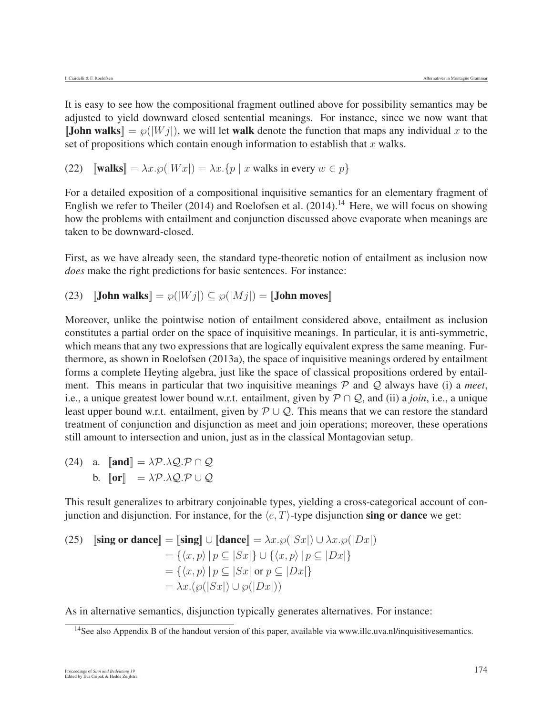It is easy to see how the compositional fragment outlined above for possibility semantics may be adjusted to yield downward closed sentential meanings. For instance, since we now want that **[John walks**] =  $\wp(|W_j|)$ , we will let **walk** denote the function that maps any individual x to the set of propositions which contain enough information to establish that  $x$  walks.

(22)  $[\text{walks}] = \lambda x.\wp(|Wx|) = \lambda x.\{p \mid x \text{ walks in every } w \in p\}$ 

For a detailed exposition of a compositional inquisitive semantics for an elementary fragment of English we refer to Theiler (2014) and Roelofsen et al. (2014).<sup>14</sup> Here, we will focus on showing how the problems with entailment and conjunction discussed above evaporate when meanings are taken to be downward-closed.

First, as we have already seen, the standard type-theoretic notion of entailment as inclusion now *does* make the right predictions for basic sentences. For instance:

(23)  $\left[\text{John walks}\right] = \wp(|Wj|) \subseteq \wp(|Mj|) = \left[\text{John moves}\right]$ 

Moreover, unlike the pointwise notion of entailment considered above, entailment as inclusion constitutes a partial order on the space of inquisitive meanings. In particular, it is anti-symmetric, which means that any two expressions that are logically equivalent express the same meaning. Furthermore, as shown in Roelofsen (2013a), the space of inquisitive meanings ordered by entailment forms a complete Heyting algebra, just like the space of classical propositions ordered by entailment. This means in particular that two inquisitive meanings  $P$  and  $Q$  always have (i) a *meet*, i.e., a unique greatest lower bound w.r.t. entailment, given by P∩Q, and (ii) a *join*, i.e., a unique least upper bound w.r.t. entailment, given by  $\mathcal{P}\cup\mathcal{Q}$ . This means that we can restore the standard treatment of conjunction and disjunction as meet and join operations; moreover, these operations still amount to intersection and union, just as in the classical Montagovian setup.

(24) a.  $\llbracket \text{and} \rrbracket = \lambda \mathcal{P} \cdot \lambda \mathcal{Q} \cdot \mathcal{P} \cap \mathcal{Q}$ b.  $\llbracket \text{or} \rrbracket = \lambda \mathcal{P} \cdot \lambda \mathcal{Q} \cdot \mathcal{P} \cup \mathcal{Q}$ 

This result generalizes to arbitrary conjoinable types, yielding a cross-categorical account of conjunction and disjunction. For instance, for the  $\langle e, T \rangle$ -type disjunction sing or dance we get:

(25) 
$$
\begin{aligned} \n\textbf{[sing or dance]} &= \n\begin{bmatrix} \n\textbf{sing} \n\end{bmatrix} \cup \n\begin{bmatrix} \n\textbf{dance} \n\end{bmatrix} = \lambda x. \wp(|Sx|) \cup \lambda x. \wp(|Dx|) \\ \n&= \{ \langle x, p \rangle \mid p \subseteq |Sx| \} \cup \{ \langle x, p \rangle \mid p \subseteq |Dx| \} \\ \n&= \{ \langle x, p \rangle \mid p \subseteq |Sx| \text{ or } p \subseteq |Dx| \} \\ \n&= \lambda x. (\wp(|Sx|) \cup \wp(|Dx|)) \n\end{aligned}
$$

As in alternative semantics, disjunction typically generates alternatives. For instance:

<sup>&</sup>lt;sup>14</sup>See also Appendix B of the handout version of this paper, available via www.illc.uva.nl/inquisitivesemantics.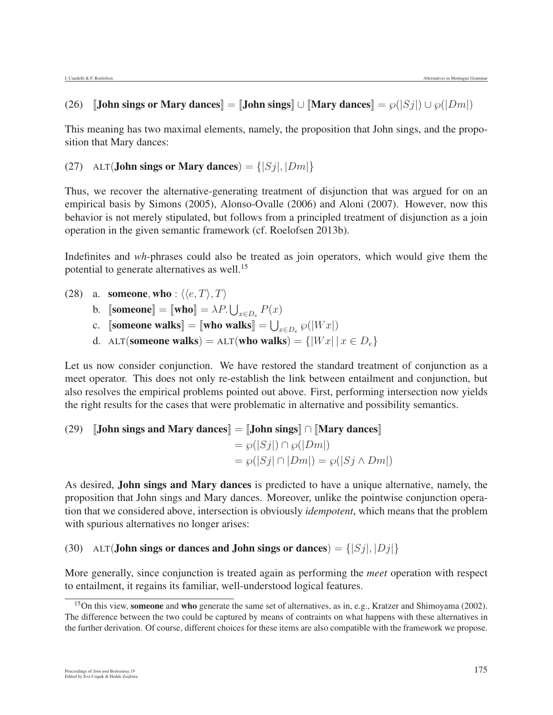# (26)  $\text{[John sings or Mary dances]} = \text{[John sings]} \cup \text{[Mary dances]} = \wp(|S_j|) \cup \wp(|D_m|)$

This meaning has two maximal elements, namely, the proposition that John sings, and the proposition that Mary dances:

# (27) ALT(**John sings or Mary dances**) =  $\{ |Sj|, |Dm| \}$

Thus, we recover the alternative-generating treatment of disjunction that was argued for on an empirical basis by Simons (2005), Alonso-Ovalle (2006) and Aloni (2007). However, now this behavior is not merely stipulated, but follows from a principled treatment of disjunction as a join operation in the given semantic framework (cf. Roelofsen 2013b).

Indefinites and *wh*-phrases could also be treated as join operators, which would give them the potential to generate alternatives as well.15

- (28) a. someone, who :  $\langle \langle e, T \rangle, T \rangle$ 
	- b.  $\text{[some} = \text{[who]} = \lambda P \cup_{x \in D_e} P(x)$
	- c. [someone walks] = [who walks] =  $\bigcup_{x \in D_e} \wp(|Wx|)$
	- d. ALT(someone walks) = ALT(who walks) =  $\{|Wx| | x \in D_e\}$

Let us now consider conjunction. We have restored the standard treatment of conjunction as a meet operator. This does not only re-establish the link between entailment and conjunction, but also resolves the empirical problems pointed out above. First, performing intersection now yields the right results for the cases that were problematic in alternative and possibility semantics.

(29) [John sings and Mary dances] = [John sings] 
$$
\cap
$$
 [Mary dances]  
=  $\wp(|Sj|) \cap \wp(|Dm|)$   
=  $\wp(|Sj| \cap |Dm|) = \wp(|Sj \wedge Dm|)$ 

As desired, John sings and Mary dances is predicted to have a unique alternative, namely, the proposition that John sings and Mary dances. Moreover, unlike the pointwise conjunction operation that we considered above, intersection is obviously *idempotent*, which means that the problem with spurious alternatives no longer arises:

(30) ALT(**John sings or dances and John sings or dances**) =  $\{ |Sj|, |Dj| \}$ 

More generally, since conjunction is treated again as performing the *meet* operation with respect to entailment, it regains its familiar, well-understood logical features.

<sup>&</sup>lt;sup>15</sup>On this view, someone and who generate the same set of alternatives, as in, e.g., Kratzer and Shimoyama (2002). The difference between the two could be captured by means of contraints on what happens with these alternatives in the further derivation. Of course, different choices for these items are also compatible with the framework we propose.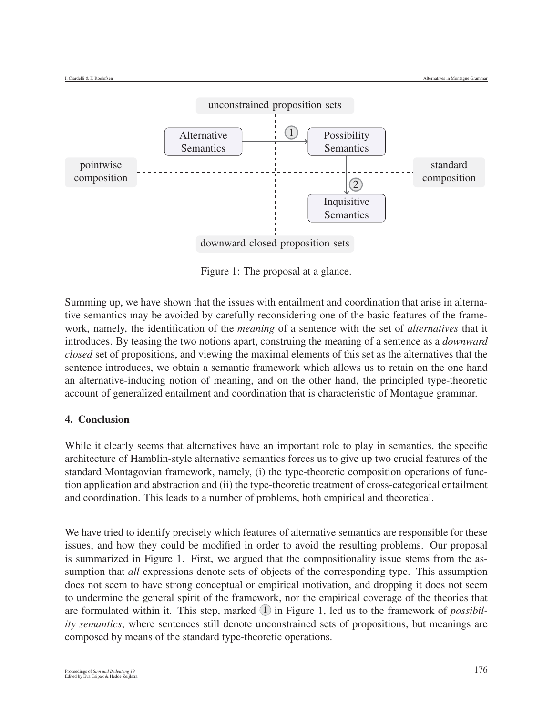

downward closed proposition sets

Figure 1: The proposal at a glance.

Summing up, we have shown that the issues with entailment and coordination that arise in alternative semantics may be avoided by carefully reconsidering one of the basic features of the framework, namely, the identification of the *meaning* of a sentence with the set of *alternatives* that it introduces. By teasing the two notions apart, construing the meaning of a sentence as a *downward closed* set of propositions, and viewing the maximal elements of this set as the alternatives that the sentence introduces, we obtain a semantic framework which allows us to retain on the one hand an alternative-inducing notion of meaning, and on the other hand, the principled type-theoretic account of generalized entailment and coordination that is characteristic of Montague grammar.

# 4. Conclusion

While it clearly seems that alternatives have an important role to play in semantics, the specific architecture of Hamblin-style alternative semantics forces us to give up two crucial features of the standard Montagovian framework, namely, (i) the type-theoretic composition operations of function application and abstraction and (ii) the type-theoretic treatment of cross-categorical entailment and coordination. This leads to a number of problems, both empirical and theoretical.

We have tried to identify precisely which features of alternative semantics are responsible for these issues, and how they could be modified in order to avoid the resulting problems. Our proposal is summarized in Figure 1. First, we argued that the compositionality issue stems from the assumption that *all* expressions denote sets of objects of the corresponding type. This assumption does not seem to have strong conceptual or empirical motivation, and dropping it does not seem to undermine the general spirit of the framework, nor the empirical coverage of the theories that are formulated within it. This step, marked  $(1)$  in Figure 1, led us to the framework of *possibility semantics*, where sentences still denote unconstrained sets of propositions, but meanings are composed by means of the standard type-theoretic operations.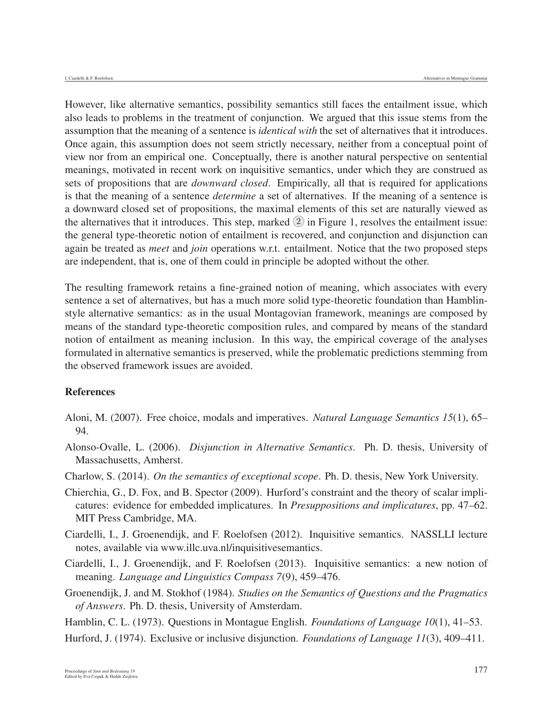However, like alternative semantics, possibility semantics still faces the entailment issue, which also leads to problems in the treatment of conjunction. We argued that this issue stems from the assumption that the meaning of a sentence is *identical with* the set of alternatives that it introduces. Once again, this assumption does not seem strictly necessary, neither from a conceptual point of view nor from an empirical one. Conceptually, there is another natural perspective on sentential meanings, motivated in recent work on inquisitive semantics, under which they are construed as sets of propositions that are *downward closed*. Empirically, all that is required for applications is that the meaning of a sentence *determine* a set of alternatives. If the meaning of a sentence is a downward closed set of propositions, the maximal elements of this set are naturally viewed as the alternatives that it introduces. This step, marked  $(2)$  in Figure 1, resolves the entailment issue: the general type-theoretic notion of entailment is recovered, and conjunction and disjunction can again be treated as *meet* and *join* operations w.r.t. entailment. Notice that the two proposed steps are independent, that is, one of them could in principle be adopted without the other.

The resulting framework retains a fine-grained notion of meaning, which associates with every sentence a set of alternatives, but has a much more solid type-theoretic foundation than Hamblinstyle alternative semantics: as in the usual Montagovian framework, meanings are composed by means of the standard type-theoretic composition rules, and compared by means of the standard notion of entailment as meaning inclusion. In this way, the empirical coverage of the analyses formulated in alternative semantics is preserved, while the problematic predictions stemming from the observed framework issues are avoided.

#### References

- Aloni, M. (2007). Free choice, modals and imperatives. *Natural Language Semantics 15*(1), 65– 94.
- Alonso-Ovalle, L. (2006). *Disjunction in Alternative Semantics*. Ph. D. thesis, University of Massachusetts, Amherst.
- Charlow, S. (2014). *On the semantics of exceptional scope*. Ph. D. thesis, New York University.
- Chierchia, G., D. Fox, and B. Spector (2009). Hurford's constraint and the theory of scalar implicatures: evidence for embedded implicatures. In *Presuppositions and implicatures*, pp. 47–62. MIT Press Cambridge, MA.
- Ciardelli, I., J. Groenendijk, and F. Roelofsen (2012). Inquisitive semantics. NASSLLI lecture notes, available via www.illc.uva.nl/inquisitivesemantics.
- Ciardelli, I., J. Groenendijk, and F. Roelofsen (2013). Inquisitive semantics: a new notion of meaning. *Language and Linguistics Compass 7*(9), 459–476.
- Groenendijk, J. and M. Stokhof (1984). *Studies on the Semantics of Questions and the Pragmatics of Answers*. Ph. D. thesis, University of Amsterdam.

Hamblin, C. L. (1973). Questions in Montague English. *Foundations of Language 10*(1), 41–53.

Hurford, J. (1974). Exclusive or inclusive disjunction. *Foundations of Language 11*(3), 409–411.